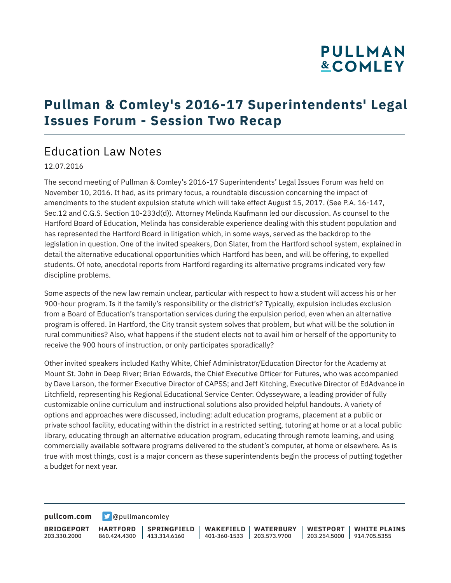# **PULLMAN &COMLEY**

### **Pullman & Comley's 2016-17 Superintendents' Legal Issues Forum - Session Two Recap**

### Education Law Notes

#### 12.07.2016

The second meeting of Pullman & Comley's 2016-17 Superintendents' Legal Issues Forum was held on November 10, 2016. It had, as its primary focus, a roundtable discussion concerning the impact of amendments to the student expulsion statute which will take effect August 15, 2017. (See P.A. 16-147, Sec.12 and C.G.S. Section 10-233d(d))*.* Attorney Melinda Kaufmann led our discussion. As counsel to the Hartford Board of Education, Melinda has considerable experience dealing with this student population and has represented the Hartford Board in litigation which, in some ways, served as the backdrop to the legislation in question. One of the invited speakers, Don Slater, from the Hartford school system, explained in detail the alternative educational opportunities which Hartford has been, and will be offering, to expelled students. Of note, anecdotal reports from Hartford regarding its alternative programs indicated very few discipline problems.

Some aspects of the new law remain unclear, particular with respect to how a student will access his or her 900-hour program. Is it the family's responsibility or the district's? Typically, expulsion includes exclusion from a Board of Education's transportation services during the expulsion period, even when an alternative program is offered. In Hartford, the City transit system solves that problem, but what will be the solution in rural communities? Also, what happens if the student elects not to avail him or herself of the opportunity to receive the 900 hours of instruction, or only participates sporadically?

Other invited speakers included Kathy White, Chief Administrator/Education Director for the Academy at Mount St. John in Deep River; Brian Edwards, the Chief Executive Officer for Futures, who was accompanied by Dave Larson, the former Executive Director of CAPSS; and Jeff Kitching, Executive Director of EdAdvance in Litchfield, representing his Regional Educational Service Center. Odysseyware, a leading provider of fully customizable online curriculum and instructional solutions also provided helpful handouts. A variety of options and approaches were discussed, including: adult education programs, placement at a public or private school facility, educating within the district in a restricted setting, tutoring at home or at a local public library, educating through an alternative education program, educating through remote learning, and using commercially available software programs delivered to the student's computer, at home or elsewhere. As is true with most things, cost is a major concern as these superintendents begin the process of putting together a budget for next year.

**[pullcom.com](https://www.pullcom.com) g** [@pullmancomley](https://twitter.com/PullmanComley)

**BRIDGEPORT** 203.330.2000 **HARTFORD** 860.424.4300 413.314.6160 **SPRINGFIELD WAKEFIELD** 401-360-1533 203.573.9700 **WATERBURY WESTPORT WHITE PLAINS** 203.254.5000 914.705.5355